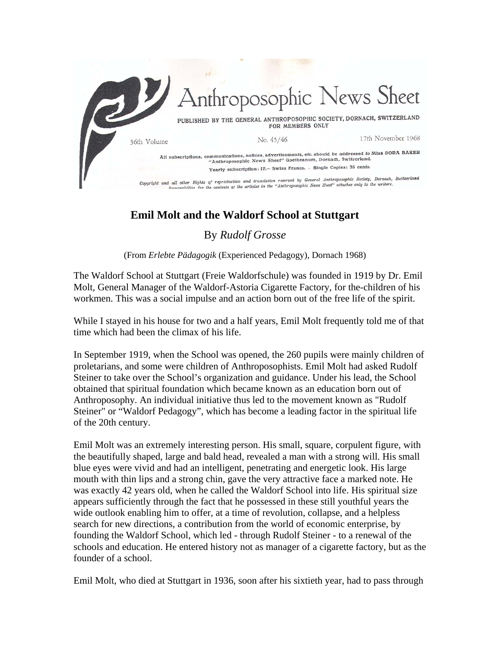

## **Emil Molt and the Waldorf School at Stuttgart**

## By *Rudolf Grosse*

(From *Erlebte Pädagogik* (Experienced Pedagogy), Dornach 1968)

The Waldorf School at Stuttgart (Freie Waldorfschule) was founded in 1919 by Dr. Emil Molt, General Manager of the Waldorf-Astoria Cigarette Factory, for the-children of his workmen. This was a social impulse and an action born out of the free life of the spirit.

While I stayed in his house for two and a half years, Emil Molt frequently told me of that time which had been the climax of his life.

In September 1919, when the School was opened, the 260 pupils were mainly children of proletarians, and some were children of Anthroposophists. Emil Molt had asked Rudolf Steiner to take over the School's organization and guidance. Under his lead, the School obtained that spiritual foundation which became known as an education born out of Anthroposophy. An individual initiative thus led to the movement known as "Rudolf Steiner" or "Waldorf Pedagogy", which has become a leading factor in the spiritual life of the 20th century.

Emil Molt was an extremely interesting person. His small, square, corpulent figure, with the beautifully shaped, large and bald head, revealed a man with a strong will. His small blue eyes were vivid and had an intelligent, penetrating and energetic look. His large mouth with thin lips and a strong chin, gave the very attractive face a marked note. He was exactly 42 years old, when he called the Waldorf School into life. His spiritual size appears sufficiently through the fact that he possessed in these still youthful years the wide outlook enabling him to offer*,* at a time of revolution, collapse, and a helpless search for new directions, a contribution from the world of economic enterprise, by founding the Waldorf School, which led - through Rudolf Steiner - to a renewal of the schools and education. He entered history not as manager of a cigarette factory, but as the founder of a school.

Emil Molt, who died at Stuttgart in 1936, soon after his sixtieth year, had to pass through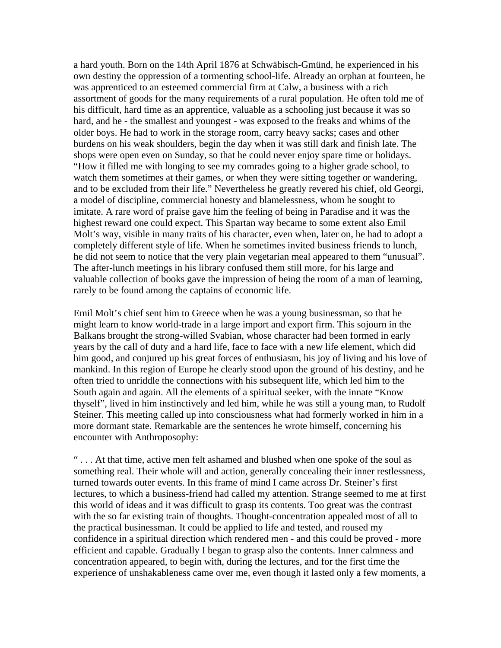a hard youth. Born on the 14th April 1876 at Schwäbisch-Gmünd, he experienced in his own destiny the oppression of a tormenting school-life. Already an orphan at fourteen, he was apprenticed to an esteemed commercial firm at Calw, a business with a rich assortment of goods for the many requirements of a rural population. He often told me of his difficult, hard time as an apprentice, valuable as a schooling just because it was so hard, and he - the smallest and youngest - was exposed to the freaks and whims of the older boys. He had to work in the storage room, carry heavy sacks; cases and other burdens on his weak shoulders, begin the day when it was still dark and finish late. The shops were open even on Sunday, so that he could never enjoy spare time or holidays. "How it filled me with longing to see my comrades going to a higher grade school, to watch them sometimes at their games, or when they were sitting together or wandering, and to be excluded from their life." Nevertheless he greatly revered his chief, old Georgi, a model of discipline, commercial honesty and blamelessness, whom he sought to imitate. A rare word of praise gave him the feeling of being in Paradise and it was the highest reward one could expect. This Spartan way became to some extent also Emil Molt's way, visible in many traits of his character, even when, later on, he had to adopt a completely different style of life. When he sometimes invited business friends to lunch, he did not seem to notice that the very plain vegetarian meal appeared to them "unusual". The after-lunch meetings in his library confused them still more, for his large and valuable collection of books gave the impression of being the room of a man of learning, rarely to be found among the captains of economic life.

Emil Molt's chief sent him to Greece when he was a young businessman, so that he might learn to know world-trade in a large import and export firm. This sojourn in the Balkans brought the strong-willed Svabian, whose character had been formed in early years by the call of duty and a hard life, face to face with a new life element, which did him good, and conjured up his great forces of enthusiasm, his joy of living and his love of mankind. In this region of Europe he clearly stood upon the ground of his destiny, and he often tried to unriddle the connections with his subsequent life, which led him to the South again and again. All the elements of a spiritual seeker, with the innate "Know thyself", lived in him instinctively and led him, while he was still a young man, to Rudolf Steiner. This meeting called up into consciousness what had formerly worked in him in a more dormant state. Remarkable are the sentences he wrote himself, concerning his encounter with Anthroposophy:

" . . . At that time, active men felt ashamed and blushed when one spoke of the soul as something real. Their whole will and action, generally concealing their inner restlessness, turned towards outer events. In this frame of mind I came across Dr. Steiner's first lectures, to which a business-friend had called my attention. Strange seemed to me at first this world of ideas and it was difficult to grasp its contents. Too great was the contrast with the so far existing train of thoughts. Thought-concentration appealed most of all to the practical businessman. It could be applied to life and tested, and roused my confidence in a spiritual direction which rendered men - and this could be proved - more efficient and capable. Gradually I began to grasp also the contents. Inner calmness and concentration appeared, to begin with, during the lectures, and for the first time the experience of unshakableness came over me, even though it lasted only a few moments, a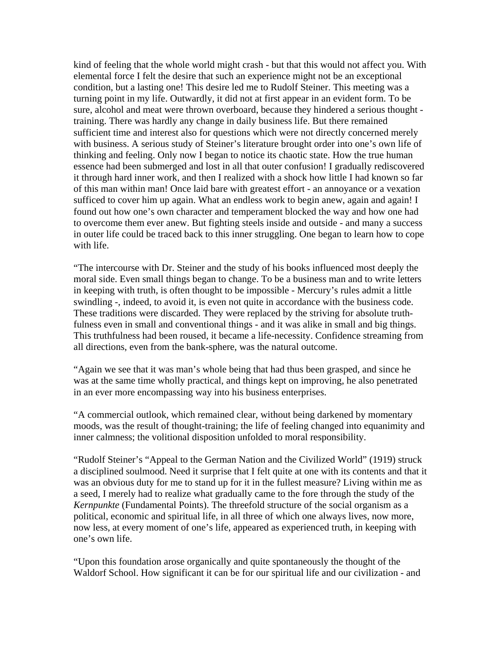kind of feeling that the whole world might crash - but that this would not affect you. With elemental force I felt the desire that such an experience might not be an exceptional condition, but a lasting one! This desire led me to Rudolf Steiner. This meeting was a turning point in my life. Outwardly, it did not at first appear in an evident form. To be sure, alcohol and meat were thrown overboard, because they hindered a serious thought training. There was hardly any change in daily business life. But there remained sufficient time and interest also for questions which were not directly concerned merely with business. A serious study of Steiner's literature brought order into one's own life of thinking and feeling. Only now I began to notice its chaotic state. How the true human essence had been submerged and lost in all that outer confusion! I gradually rediscovered it through hard inner work, and then I realized with a shock how little I had known so far of this man within man! Once laid bare with greatest effort - an annoyance or a vexation sufficed to cover him up again. What an endless work to begin anew, again and again! I found out how one's own character and temperament blocked the way and how one had to overcome them ever anew. But fighting steels inside and outside - and many a success in outer life could be traced back to this inner struggling. One began to learn how to cope with life.

"The intercourse with Dr. Steiner and the study of his books influenced most deeply the moral side. Even small things began to change. To be a business man and to write letters in keeping with truth, is often thought to be impossible - Mercury's rules admit a little swindling -, indeed, to avoid it, is even not quite in accordance with the business code. These traditions were discarded. They were replaced by the striving for absolute truthfulness even in small and conventional things - and it was alike in small and big things. This truthfulness had been roused, it became a life-necessity. Confidence streaming from all directions, even from the bank-sphere, was the natural outcome.

"Again we see that it was man's whole being that had thus been grasped, and since he was at the same time wholly practical, and things kept on improving, he also penetrated in an ever more encompassing way into his business enterprises.

"A commercial outlook, which remained clear, without being darkened by momentary moods, was the result of thought-training; the life of feeling changed into equanimity and inner calmness; the volitional disposition unfolded to moral responsibility.

"Rudolf Steiner's "Appeal to the German Nation and the Civilized World" (1919) struck a disciplined soulmood. Need it surprise that I felt quite at one with its contents and that it was an obvious duty for me to stand up for it in the fullest measure? Living within me as a seed, I merely had to realize what gradually came to the fore through the study of the *Kernpunkte* (Fundamental Points). The threefold structure of the social organism as a political, economic and spiritual life, in all three of which one always lives, now more, now less, at every moment of one's life, appeared as experienced truth, in keeping with one's own life.

"Upon this foundation arose organically and quite spontaneously the thought of the Waldorf School. How significant it can be for our spiritual life and our civilization - and